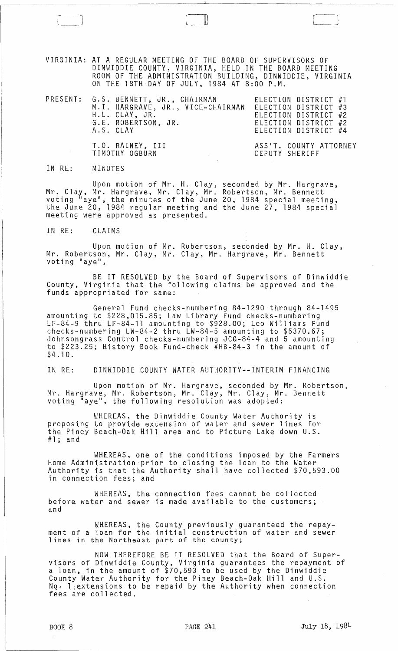VIRGINIA: AT A REGULAR MEETLNG OF THE BOARD OF SUPERVISORS OF DINWIDDIE COUNTY, VIRGINIA, HELD IN THE BOARD MEETING ROOM OF THE ADMINISTRATION BUILDING, DINWIDDIE, VIRGINIA ON THE 18TH DAY OF JULY, 1984 AT 8:00 P.M.

 $\Box$ 

|  | PRESENT: G.S. BENNETT, JR., CHAIRMAN<br>M.I. HARGRAVE, JR., VICE-CHAIRMAN<br>H.L. CLAY, JR.<br>G.E. ROBERTSON, JR.<br>A.S. CLAY | ELECTION DISTRICT #1<br>ELECTION DISTRICT #3<br>ELECTION DISTRICT #2<br>ELECTION DISTRICT #2<br>ELECTION DISTRICT #4 |
|--|---------------------------------------------------------------------------------------------------------------------------------|----------------------------------------------------------------------------------------------------------------------|
|  | T.O. RAINEY, III<br>TIMOTHY OGBURN<br>and the state of the state of                                                             | ASS'T. COUNTY ATTORNEY<br>DEPUTY SHERIFF                                                                             |

IN RE: MINUTES

Upon motion of Mr. H. Clay, seconded by Mr. Hargrave, Mr. Clay, Mr. Hargrave, Mr. Clay, Mr. Robertson, Mr. Bennett voting "aye", the minutes of the June 20, 1984 special meeting, the June 20, 1984 regular meeting and the June 27, 1984 special meeting were approved as presented.

IN RE: CLAIMS

Upon motion of Mr. Robertson, seconded by Mr. H. Clay, Mr. Robertson, Mr. Clay, Mr. Clay, Mr. Hargrave, Mr. Bennett voting "aye",

BE IT RESOLVED by the Board of Supervisors of Dinwiddie County, Virginia that the following claims be approved and the funds appropriated for same:

General Fund checks-numbering 84-1290 through 84-1495 amounting to \$228,015.85; Law Library Fund checks-numbering LF-84-9 thru LF-84-11 amounting to \$928.00; Leo Williams Fund checks-numbering LW-84-2 thru LW-84-5 amounting to \$5370.67; Johnsongrass Control checks-numbering JCG-84~4 and 5 amounting to \$223.25; History Book Fund-check #HB-84-3 in the amount of \$4.10.

IN RE: DINWIDDIE COUNTY WATER AUTHORITY--INTERIM FINANCING

Upon motion of Mr. Hargrave, seconded by Mr. Robertson, Mr. Hargrave, Mr. Robertson, Mr. Clay, Mr. Clay, Mr. Bennett voting "aye", the following resolution was adopted:

WHEREAS, the Dinwiddie County Water Authority is proposing to provide extension of water and sewer lines for the Piney Beach-Oak Hill area and to Picture Lake down U.S. #1; and

WHEREAS, one of the conditions imposed by the Farmers Home Administration'prior to closing the loan to the Water Authority is that the Authority shall have collected \$70,593.00 in connection fees; and

WHEREAS, the connection fees cannot be collected before water and sewer is made available to the customers; and

WHEREAS, the County previously guaranteed the repayment of a loan for the initial construction of water and sewer lines in the Northeast part of the county;

NOW THEREFORE BE IT RESOLVED that the Board of Supervisors of Dinwiddie County, Virginia guarantees the repayment of a loan, in the amount of \$70,593 to be used by the Dinwiddie County Water Authority for the Piney Beach-Oak Hill and U.S.  $Nq: 1$ , extensions to be repaid by the Authority when connection fees are collected.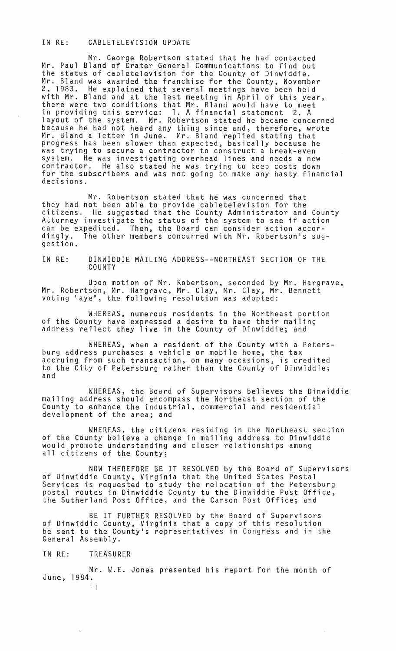## IN RE: CABLETELEVISION UPDATE

Mr. George Robertson stated that he had contacted Mr. Paul Bland of Crater General Communications to find out the status of cabletelevision for the County of Dinwiddie. Mr. Bland was awarded the franchise for the County, November<br>2, 1983. He explained that several meetings have been held He explained that several meetings have been held with Mr. Bland and at the last meeting in April of this year, there were two conditions that Mr. Bland would have to meet in providing this service: 1. A financial statement 2. A layout of the system. Mr. Robertson stated he became concerned because he had not heard any thing since and, therefore, wrote Mr. Bland a letter in June. Mr. Bland replied stating that progress has been slower than expected, basically because he was trying to secure a contractor to construct a break-even system. He was investigating overhead lines and needs a new contractor. He also stated he was trying to keep costs down for the subscribers and was not going to make any hasty financial decisions.

Mr. Robertson stated that he was concerned that they had not been able to provide cabletelevision for the citizens. He suggested that the County Administrator and County Attorney investigate the status of the system to see if action can be expedited. Then, the Board can consider action accordingly. The other members concurred with Mr. Robertson's sug-<br>gestion.

IN RE: DINWIDDIE MAILING ADDRESS--NORTHEAST SECTION OF THE **COUNTY** 

Upon motion of Mr. Robertson, seconded by Mr. Hargrave, Mr. Robertson, Mr. Hargrave, Mr. Clay, Mr. Clay, Mr. Bennett voting "aye", the following resolution was adopted:

WKEREAS, numerous residents in the Northeast portion of the County have expressed a desire to have their mailing<br>address reflect they live in the County of Dinwiddie; and

WHEREAS, when a resident of the County with a Petersburg address purchases a vehicle or mobile home, the tax accruing from such transaction, on many occasions, is credited to the City of Petersburg rather than the County of Dinwiddie; and

WHEREAS, the Board of Supervisors believes the Dinwiddie mailing address should encompass the Northeast section of the County to enhance the industrial, commercial and residential development of the area; and

WHEREAS, the citizens residing in the Northeast section of the County believe a change in mailing address to Dinwiddie would promote understanding and closer relationships among all citizens of the County;

NOW TKEREFORE BE IT RESOLVED by the Board of Supervisors of Dinwiddie County, Virginia that the United States Postal Services is requested to study the relocation of the Petersburg postal routes in Dinwiddie County to the Dinwiddie Post Office, the Sutherland Post Office, and the Carson Post Office; and

BE IT FURTHER RESOLVED by the Board of Supervisors of Dinwiddie County, Virginia that a copy of this resolution be sent to the County's representatives in Congress and in the General Assembly.

IN RE: TREASURER

Mr. W.E. Jones presented his report for the month of June, 1984.

" 1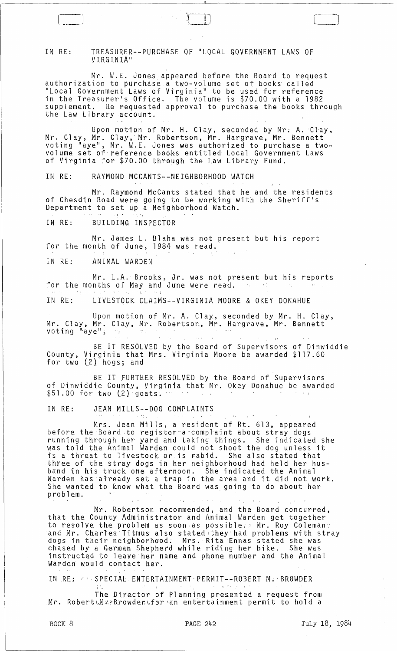## IN RE: TREASURER--PURCHASE OF "LOCAL GOVERNMENT LAWS OF VIRGINIA"

Mr. W.E. Jones appeared before the Board to request authorization to purchase a two-volume set of books called "Local Government Laws of Virginia" to be used for reference in the Treasurerls Office. The volume is \$70.00 with a 1982 supplement. He requested approval to purchase the books through the Law Library account.

 $\mathfrak{t}$  : Upon motion of Mr. H. Clay, seconded by Mr. A. Clay, Mr. Clay, Mr. Clay, Mr. Robertson, Mr. Hargrave, Mr. Bennett voting "aye", Mr. W. E. Jones was authorized to purchase a twovolume set of reference books entitled Local Government Laws of Virginia for \$70.00 through the Law Library Fund.

IN RE: RAYMOND MCCANTS--NEIGHBORHOOD WATCH

Mr. Raymond McCants stated that he and the residents of Chesdin Road were going to be working with the Sheriff1s Department to set up a Neighborhood Watch.

IN RE: BUILDING INSPECTOR

Mr. James L. Blaha was not present but his report for the month of June, 1984 was read.

IN RE: ANIMAL WARDEN

لـــــــــ

Mr. L.A. Brooks, Jr. was not present but his reports for the months of May and June were read.  $\mathbf{I}$  .  $\mathbf{I}$ 

IN RE: LIVESTOCK CLAIMS~-VIRGINIA MOORE & OKEY DONAHUE

Upon motion of Mr. A. Clay, seconded by Mr. H. Clay, Mr. Clay. Mr. Clay, Mr. Robertson, Mr. Hargrave. Mr. Bennett voting "'aye",

BE IT RESOLVED by the Board of Supervisors of Dinwiddie County. Virginia that Mrs. Virginia Moore be awarded \$117.60 for two  $(2)$  hogs; and

BE IT FURTHER RESOLVED by the Board of Supervisors of Dinwiddie County, Virginia that Mr. Okey Donahue be awarded  $$51.00$  for two  $(2)$  goats:  $\cdots$ 

IN RE: JEAN MILLS--DOG COMPLAINTS

Mrs. Jean Mills, a resident of Rt. 613, appeared before the Board to register a complaint about stray dogs running through her yard and taking things. She indicated she was told the Animal Warden could not shoot the dog unless it is a threat to livestock or is rabid. She also stated that three of the stray dogs in her neighborhood had held her husband in his truck one afternoon. She indicated the Animal Warden has already set a trap in the area and it did not work. She wanted to know what the Board was going to do about her problem.

Mr. Robertson recommended, and the Board concurred, that the County Administrator and Animal Warden get together to resolve the problem as soon as possible. Mr. Roy Coleman: and Mr. Charles Titmus also stated,they:had problems with stray<br>dogs in their neighborhood. Mrs. Rita Ennas stated she was chased by a German Shepherd while riding her bike. She was instructed to leave her name and phone number and the Animal Warden would contact her.

IN RE.: r' SPECIAL, ENTERTAINMENT' PERMIT--ROBERT M;' BROWDER i '\_ ' ... ' ...  $\mathbf{r}$  ... ' ... ' ... ' ... ' ... ' ... ' ... ' ... ' ... ' ... ' ... ' ... ' ... ' ... '

The Director of Planning presented a request from Mr. Robert MAPBrowder for an entertainment permit to hold a

 $\Box$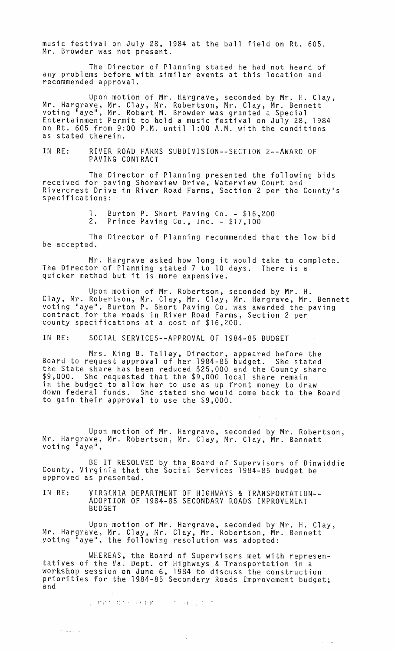music festival on July 28, 1984 at the ball field on Rt. 605. Mr. Browder was not present.

The Director of Planning stated he had not heard of any problems before with similar events at this location and recommended approval.

Upon motion of Mr. Hargrave, seconded by Mr. H. Clay, Mr. Hargrave, Mr. Clay, Mr. Robertson, Mr. Clay, Mr. Bennett voting "aye", Mr. Robert M. Browder was granted a Special Entertainment Permit to hold a music festival on July 28, 1984 on Rt. 605 from 9:00 P.M. until 1 :00 A.M. with the conditions as stated therein.

IN RE: RIVER ROAD FARMS SUBDIVISION--SECTION 2--AWARD OF PAVING CONTRACT

The Director of Planning presented the following bids received for paving Shoreview Drive, Waterview Court and Rivercrest Drive in River Road Farms, Section 2 per the County's<br>specifications:

> 1. Burton P. Short Paving Co. - \$16,200<br>2. Prince Paving Co., Inc. - \$17,100 Prince Paving Co., Inc. - \$17,100

The Director of Planning recommended that the low bid be accepted.

Mr. Hargrave asked how long it would take to complete. The Director of Planning stated 7 to 10 days. There is a quicker method but it is more expensive.

Upon motion of Mr. Robertson, seconded by Mr. H. Clay, Mr. Robertson, Mr. Clay, Mr. Clay, Mr. Hargrave, Mr. Bennett voting "aye", Burton P. Short Paving Co. was awarded the paving contract for the roads in River Road Farms, Section 2 per county specifications at a cost of \$16,200.

IN RE: SOCIAL SERVICES--APPROVAL OF 1984-85 BUDGET

Mrs. King B. Talley, Director, appeared before the Board to request approval of her 1984-85 budget. She stated the State share has been reduced \$25,000 and the County share \$9,000. She requested that the \$9,000 local share remain in the budget to allow her to use as up front money to draw down federal funds. She stated she would come back to the Board to gain their approval to use the \$9,000.

Upon motion of Mr. Hargrave, seconded by Mr. Robertson, Mr. Hargrave, Mr. Robertson, Mr. Clay, Mr. Clay, Mr. Bennett voting "aye",

BE IT RESOLVED by the Board of Supervisors of Dinwiddie County, Virginia that the Social Services 1984-85 budget be approved as presented.

IN RE: VIRGINIA DEPARTMENT OF HIGHWAYS & TRANSPORTATION-- ADOPTION OF 1984-85 SECONDARY ROADS IMPROVEMENT BUDGET

Upon motion of Mr. Hargrave, seconded by Mr. H. Clay, Mr. Hargrave, Mr. Clay, Mr. Clay, Mr. Robertson, Mr. Bennett voting "aye", the following resolution was adopted:

WHEREAS, the Board of Supervisors met with represen-<br>tatives of the Va. Dept. of Highways & Transportation in a workshop session on June 6, 1984 to discuss the construction priorities for the 1984-85 Secondary Roads Improvement budget;<br>and

 $\zeta$ 

 $\mathcal{L}^{\mathcal{L}}$ 

I'.' .. :: . . 1 [.,.. .1

والمسحاج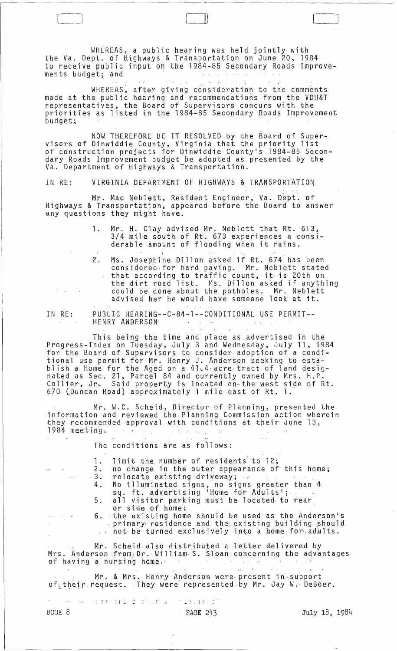WHEREAS, a public hearing was held jointly with the Va. Dept. of Highways & Transportation on June 20, 1984 to receive public input on the 1984-85 Secondary Roads Improvements budget; and

 $\begin{bmatrix} 1 & 1 & 1 \\ 1 & 1 & 1 \\ 1 & 1 & 1 \end{bmatrix}$ 

 $\overline{\phantom{0}}$  $\lfloor \rfloor$ 

WHEREAS, after giving consideration to the comments made at the public hearing and recommendations from the VDH&T representatives~ the Board of Supervisors concurs with the priorities as listed in the 1984-85 Secondary Roads Improvement budget;

, NOW THEREFORE BE IT RESOLVED by the Board of Supervisors of Dinwiddie County, Virginia that the priority list of construction projects for Dinwiddie County's 1984-85 Secondary Roads Improvement budget be adopted as presented by the Va. Department of Highways & Transportation.

IN RE: VIRGINIA DEPARTMENT OF HIGHWAYS & TRANSPORTATION

Mr. Mac Nebl<mark>ett, Resident Engineer, Va. Dept.</mark> of Highways & Transportation, appeared before the Board to answer any questions they might have.

- 1. Mr. H. Clay advised Mr. Neblett that Rt. 613, 3/4 mile south of Rt. 673 experiences a considerable amount of flooding when it rains.
- 2. Ms. Josephine Dillon asked if Rt. 674 has been considered·for hard paving. Mr. Neblett stated that according to traffic count, it is 20th on the dirt road list. Ms. Dillon asked if anything could be done about the potholes. Mr. Neblett advised her he would have someone look at it.
- IN RE: PUBLIC HEARING--C-84-1--CONDITIONAL USE PERMIT-- HENRY ANDERSON·

This being the time and place as advertised in the ProgreSS-Index on Tuesday, July 3 and Wednesday, July 11, 1984 for the Board of Supervisors to consider adoption of a conditional use permit for Mr. Henry J. Anderson seeking to establish a Home for the Aged on a 41~4·acre·tract of land designated as Sec. 21, Parcel 84 and currently owned by Mrs. H.P. Collier, Jr<sub>2</sub> Said property is located on the west side of Rt. 670 (Duncan Road} approximately 1 mile east of Rt. 1.

Mr. W.C. Scheid, Director of Planning, presented the information and reviewed the Planning Commission action wherein they recommended approval with conditions at their June 13,<br>1984 meeting. 1984 meeting.  $\sim 10^6$ 

The conditions are as foilows:

1. limit the number of residents to 12;<br>2. no change in the outer appearance of 2. no change in the outer appearance of this home;<br>3. relocate existing driveway; 3. relocate existing driveway; 4. No illuminated signs, no signs greater than 4 sq. ft. advertising 'Home for Adults'; 5. all visitor parking must be located. to rear or side of home; 6. ·the existing home should be used as the Anderson's primary residence and the existing building should primary residence and the existing building should  $\mathcal{L}^{\text{max}}$ Mr. Scheid also distributed a letter delivered by Mrs. Anderson from:Dr.·Willia~. S. Sloan-concerning *the* advantages of having a nursing home.  $\label{eq:3} \begin{split} \mathcal{F}^{\text{in}}_{\text{in}}&=\mathcal{F}(\mathcal{I})\cup\Omega_{\text{in}}\\ \mathcal{F}^{\text{in}}&=\mathcal{B}^{\text{in}}. \end{split}$  $\sim 10^{-1}$ Mr. & Mrs. Henry Anderson were present in support  $of_L$ their request. They were represented by Mr. Jay W. DeBoer.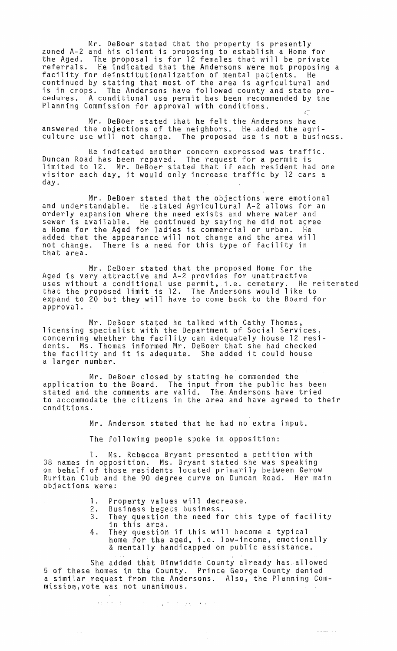Mr. DeBoer stated that the property is presently zoned A-2 and his client is proposing to establish a Home for the Aged. The proposal is for 12 females that will be private referrals. He indicated that the Andersons were not proposing a facility for deinstitutiona11zation of mental patients. He continued by stating that most of the area is agricultural and is in crops. The Andersons have followed county and state procedures. A conditional use permit has been recommended by the Planning Commission for approval with conditions.  $\subset$ 

Mr. DeBoer stated that he felt the Andersons have answered the objections of the neighbors. He.added the agriculture use will not change. The proposed use is not a business.

He indicated another concern expressed was traffic. Duncan Road has been repaved. The request for a permit is limited to 12. Mr. DeBoer stated that if each resident had one visitor each day, it would only increase traffic by 12 cars a day.

Mr. DeBoer stated that the objections were emotional and understandable. He .stated Agricultural A-2 allows for an orderly expansion where the need exists and where water and sewer is available. He continued by saying he did not agree a Home for the Aged for ladies is commercial or urban. He added that the appearance will not change and the area will not change. There is a need for this type of facility in that area.

Mr. DeBoer stated that the proposed Home for the Aged is very attractive and A-2 provides for unattractive uses without a conditional use permit, i.e. cemetery. He reiterated that the proposed limit is 12. The Andersons would like to expand to 20 but they will have to come back to the Board for approval.

Mr. DeBoer stated he talked with Cathy Thomas, licensing specialist with the Department of Social Services, concerning whether the facility can adequately house 12 residents. Ms. Thomas informed Mr. DeBoer that she had checked the facility and it is adequate. She added it could house a larger number.

Mr. DeBoer closed by stating he commended the application to the Board. The input from the public has been stated and the comments are valid. The Andersonshave tried to accommodate the citizens in the area and have agreed to their conditions.

Mr. Anderson stated that he had no extra input.

The following people spoke in opposition:

1. Ms. Rebecca Bryant presented a petition with 38 names in opposition. Ms. Bryant stated she was speaking on behalf of those residents located primarily between Gerow Ruritan Club and the 90 degree curve on Duncan Road. Her main objections were:

- **1.** Property values will decrease.
- 
- 2. Business begets business.<br>3. They question the need fo They question the need for this type of facility in this area.
- 4. They question if this will become a typical home for the aged, i.e. low-income, emotionally & mentally handicapped on public assistance.

She added that Dinwiddie County already has allowed 5 of these homes in the County. Prince George County denied a similar request from the Andersons. Also, the Planning Commission,vote was not unanimous.

 $\Omega$  ,  $\Omega$  is  $\Omega$  , and  $\Omega$  , and  $\Omega$  , and  $\Omega$  , and  $\Omega$ 

 $\sim$   $\sim$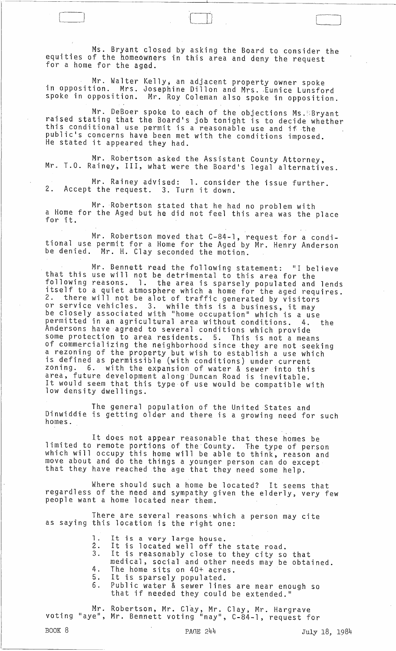Ms. Bryant closed by asking the Board to consider the equities of the homeowners in this area and deny the request<br>for a home for the aged.

--~-----------------------------------------~----------------------~~---------------

 $\mathbf{1}$  and  $\mathbf{1}$  and  $\mathbf{1}$  and  $\mathbf{1}$  and  $\mathbf{1}$  and  $\mathbf{1}$  and  $\mathbf{1}$  and  $\mathbf{1}$  and  $\mathbf{1}$  and  $\mathbf{1}$  and  $\mathbf{1}$  and  $\mathbf{1}$  and  $\mathbf{1}$  and  $\mathbf{1}$  and  $\mathbf{1}$  and  $\mathbf{1}$  and  $\mathbf{1}$  and

Mr. Walter Kelly; an adjacent property owner spoke in opposition. Mrs. Josephine Dillon and Mrs. Eunice Lunsford spoke in opposition. Mr. Roy Coleman also spoke in opposition.

Mr. DeBoer spoke to each of the objections Ms. Bryant raised stating that the Board·s job tonight is to decide whether this conditional use permit is a reasonable use and if the public's concerns have been met with the conditions imposed.<br>He stated it appeared they had.

Mr. Robertson asked the Assistant County Attorney, Mr. T.O. Rainey, III, what were the Board·s legal alternatives.

Mr. Rainey adVised: 1. consider the issue further. 2. Accept the request. 3. Turn it down.

Mr. Robertson stated that he had no problem with a Home for the Aged but he did not feel this area was the place

Mr. Robertson moved that C-84-1, request for a conditional use permit for a Home for the Aged by Mr. Henry Anderson be denied. Mr. H. Clay seconded the motion.

Mr. Bennett read the following statement: "I believe that this use will not be detrimental to this area for the following reasons. 1. the area is sparsely populated and lends itself to a quiet atmosphere which a home for the aged requires. 2. there will not be alot of traffic generated by visitors or service vehicles. 3. while this is a business, it may of service venicles. S. While this is a business, it may<br>be closely associated with "home occupation" which is a use per crosery associated with home occupation which is a use<br>permitted in an agricultural area without conditions. 4. the Andersons have agreed to several conditions which provide some protection to area residents. 5. This is not a means of commercializing the neighborhood since they are not seeking a rezoning of the property but wish to establish a use which is defined as permissible (with conditions) under current zoning. 6. with the expansion of water & sewer into this area, future development along Duncan Road is inevitable. It would seem that this type of use would be compatible with low density dwellings.

The general population of the United States and Dinwiddie is getting older and there is a growing need for such homes.

It does not appear reasonable that these homes be limited to remote portions of the County. The type of person which will occupy this home will be able to think, reason and move about and do the things a younger person can do except that they have reached the age that they need some help.

Where should such a home be located? It seems that regardless of the need and sympathy given the elderly, very few people want a home located near them.

There are several reasons which a person may cite as saying this location is the right one:

- 1. It is a very large house.
- 2. It is located well off the state road.
- 3. It is reasonably close to they city so that medical, social and other needs may be obtained.
- 4. The home sits on 40+ acres.<br>5. It is sparsely populated. ... The mome bibs on late acte
- 6. Public water & sewer lines are near enough so
- that if needed they could be extended."

Mr. Robertson, Mr. Clay, Mr. Clay, Mr. Hargrave<br>voting "aye", Mr. Bennett voting "nay", C-84-1, request for

BOOK 8 **PAGE 244** PAGE 244 July 18, 1984

 $\bigcup$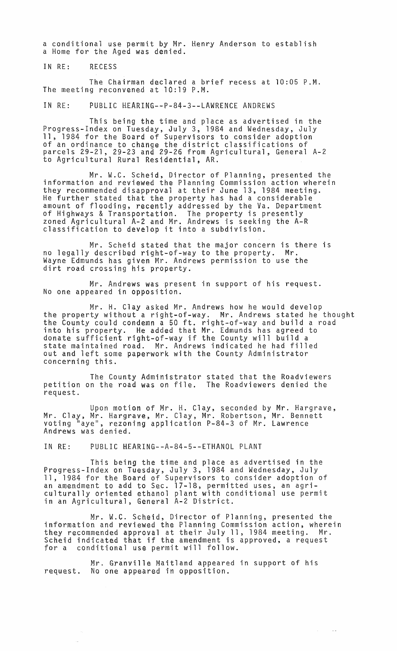a conditional use permit by Mr. Henry Anderson to establish a Home for the Aged was denied.

IN RE: RECESS

The Chairman declared a brief recess at 10:05 P.M. The meeting reconvened at 10:19 P.M.

IN RE: PUBLIC HEARING--P-84-3--LAWRENCE ANDREWS

This being the time and place as advertised in the Progress-Index on Tuesday, July 3, 1984 and Wednesday, July 11, 1984 for the Board of Supervisors to consider adoption of an ordinance to change the district classifications of parcels 29-21, 29-23 and 29-26 from Agricultural, General A-2 to Agricultural Rural Residential, AR.

Mr. W.C. Scheid, Director of Planning, presented the information and reviewed the Planning Commission action wherein they recommended disapproval at their June 13, 1984 meeting. He further stated that the property has had a considerable amount of flooding, recently addressed by the Va. Department of Highways & Transportation. The property is presently zoned Agricultural A-2 and Mr. Andrews is seeking the A-R classification to develop it into a subdivision.

Mr. Scheid stated that the major concern is there is<br>described right-of-way to the property. Mr. no legally described right-of-way to the property. Wayne Edmunds has given Mr. Andrews permission to use the dirt road crossing his property.

Mr. Andrews was present in support of his request. No one appeared in opposition.

Mr. H. Clay asked Mr. Andrews how he would develop the property without a right-of-way. Mr. Andrews stated he thought the County could condemn a 50 ft. right-of-way and build a road into his property. He added that Mr. Edmunds has agreed to donate sufficient right-of-way if the County will build a state maintained road. Mr. Andrews indicated he had filled out and left some paperwork with the County Administrator concerning this.

The County Administrator stated that the Roadviewers petition on the road was on file. The Roadviewers denied the request.

Upon motion of Mr. H. Clay, seconded by Mr. Hargrave, Mr. Clay, Mr. Hargrave, Mr. Clay, Mr. Robertson, Mr. Bennett voting "aye", rezoning application P-84-3 of Mr. Lawrence Andrews was denied.

IN RE: PUBLIC HEARING--A-84-5--ETHANOL PLANT

This being the time and place as advertised in the Progress-Index on Tuesday, July 3, 1984 and Wednesday, July 11, 1984 for the Board of Supervisors to consider adoption of an amendment to add to Sec. 17-18, permitted uses, an agriculturally oriented ethanol plant with conditional use permit in an Agricultural, General A-2 District.

Mr. W.C. Scheid, Director of Planning, presented the information and reviewed the Planning Commission action, wherein they recommended approval at their July 11, 1984 meeting. Mr. Scheid indicated that if the amendment is approved, a request for a conditional use permit will follow.

 $\mathcal{L}=\mathcal{L}$ 

 $\sim$ 

Mr. Granville Maitland appeared in support of his request. No one appeared in opposition.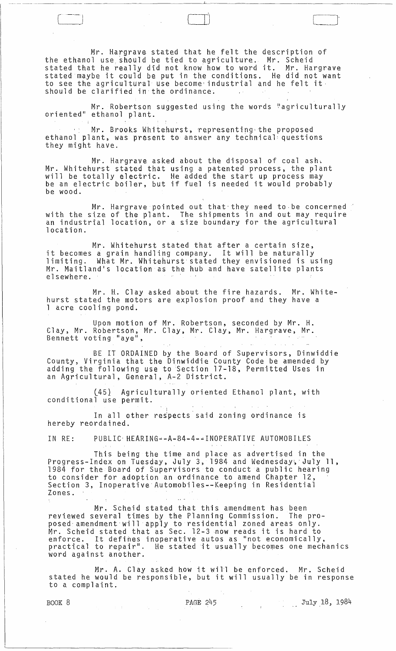Mr. Hargrave stated that he felt the description of the ethanol use should be tied to agriculture. Mr. Scheid stated that he really did not know how to word it. Mr. Hargrave stated maybe it could be put in the conditions. He did not want to see the agricultural use become'industrial and he felt it, should be clarified in the ordinance.

Mr. Robertson suggested using the words "agriculturally<br>oriented" ethanol plant.

Mr. Brooks Whitehurst, representing the proposed ethanol plant, was present to answer any technical questions they might have.

Mr. Hargrave. asked about the disposal of coal ash. Mr. Whitehurst stated that using a patented process, the plant will be totally electric. He added the start up process may will be cocully electric. The duded the start up process may<br>be an electric boiler, but if fuel is needed it would probably be wood.

Mr. Hargrave pointed out that they need to be concerned " with the size of the plant. The shipments in and out may require an industrial location, or a size boundary for the agricultural location.

Mr. Whitehurst stated that after a certain size, it becomes a grain handling company. It will be naturally limiting. What Mr. Whitehurst· stated they envisioned is using Mr. Maitland's location as the hub and have satellite plants elsewhere. .

Mr. H. Clay asked about the fire hazards. Mr. Whitehurst stated the motors are explosion proof and they have a 1 acre cooling pond.

Upon motion of Mr. Robertson, seconded by Mr. H. Clay, Mr. Robertson, Mr. Clay, Mr. Clay, Mr. Hargrave, Mr. Bennett voting "aye",

BE IT ORDAINED by the Board of Supervisors, Dinwiddie County, Virginia that the Dinwiddie County Code be amended by adding the following use to Section 17-18, Permitted Uses in an Agricultural, General, A-2 District.

(45) Agriculturally oriented Ethanol plant, with conditional use permit.

In all other respects said zoning ordinance is hereby reordained.

IN RE: PUBLIC: HEARING--A-84-4--INOPERATIVE AUTOMOBILES

This being the time and place as advertised in the Progress-Index on Tuesday, July 3, 1984 and Wednesday, July 11, 1984 for the Board of Supervisors to conduct a public hearing to consider for adoption an ordinance to amend Chapter 12, Section 3, Inoperative Automobiles--Keeping in Residential Zones.

Mr. Scheid stated that this amendment has been reviewed several times by the Planning Commission. The proposed· amendment will apply to residential zoned areas only. Mr. Scheid stated that as Sec. 12-3 now reads it is hard to enforce. It defines inoperative autos as "not economically,<br>enforce. It defines inoperative autos as "not economically,<br>practical to repair". He stated it usually becomes one mechanics word against another.

Mr. A. Clay asked how it will be enforced. Mr. Scheid stated he would be responsible, but it will usually be in response to a complaint.

BOOK 8 **PAGE 245** PAGE 245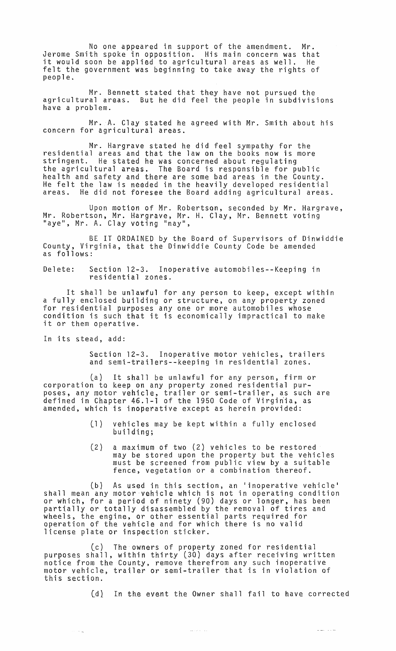No one appeared in support of the amendment. Mr. Jerome Smith spoke in opposition. His main concern was that it would soon be applied to agricultural areas as well. He felt the government was beginning to take away the rights of people.

Mr. Bennett stated that they have not pursued the agricultural areas. But he did feel the people in subdivisions have a problem.

Mr. A. Clay stated he agreed with Mr. Smith about his concern for agricultural areas.

Mr. Hargrave stated he did feel sympathy for the residential areas and that the law on the books now is more stringent. He stated he was concerned about regulating the agricultural areas. The Board is responsible for public health and safety and there are some bad areas in the County. He felt the law is needed in the heavily developed residential He did not foresee the Board adding agricultural areas.

Upon motion of Mr. Robertson, seconded by Mr. Hargrave, Mr. Robertson, Mr. Hargrave, Mr. H. Clay, Mr. Bennett voting<br>"aye", Mr. A. Clay voting "nay",

BE IT ORDAINED by the Board of Supervisors of Dinwiddie County, Virginia, that the Dinwiddie County Code be amended as follows:

Delete: Section 12-3. Inoperative automobiles--Keeping in residential zones.

It shall be unlawful for any person to keep, except within a fully enclosed building or structure, on any property zoned for residential purposes anyone or more automobiles whose condition is such that it is economically impractical to make it or them operative.

In its stead, add:

 $\sim$   $\sim$   $_{\rm H}$ 

Section 12-3. Inoperative motor vehicles, trailers and semi-trai1ers--keeping in residential zones.

(a) It shall be unlawful for any person, firm or corporation to keep on any property zoned residential purposes, any motor vehicle, trailer or semi-trailer, as such are defined in Chapter 46.1-1 of the 1950 Code of Virgiriia, as amended, which is inoperative except as herein provided:

- Cll vehicles may be kept within a fully enclosed building;
- (21 a maximum of two (2) vehicles to be restored may be stored upon the property but the vehicles must be screened from public view by a suitable fence, vegetation or a combination thereof.

(b] As used in this section, an 'inoperative vehicle' shall mean any motor vehicle which is not in operating condition or which, for a period of ninety (90) days or longer, has been partially or totally disassembled by the removal of tires and wheels, the engine, or other essential parts required for operation of the vehicle and for which there is no valid license plate or inspection sticker.

ec) The owners of property zoned for residential purposes shall, within thirty t30} days after receiving written notice from the County, remove therefrom any such inoperative motor vehicle, trailer or semi-trailer that is in violation of this section.

(d) In the event the Owner shall fail to have corrected

للمحادث المساعي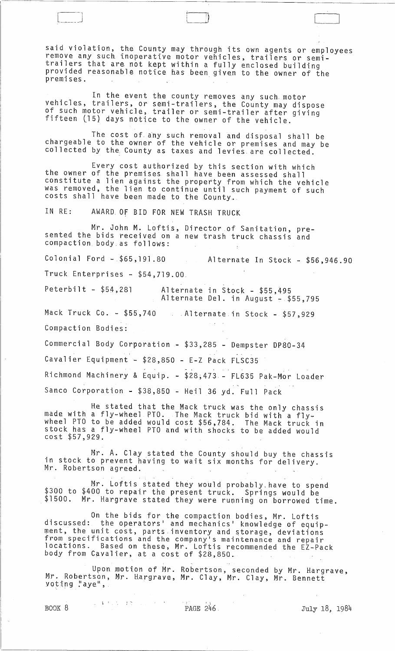said violation, the County may through its own agents or employees remove any such inoperative motor vehicles, trailers or semitrailers that are not kept within a fully enclosed building provided reasonable notice has been given to the owner of the premises.

 $\begin{pmatrix} 1 & 1 & 1 \end{pmatrix}$ 

In the event the county removes any such motor vehicles, trailers, or semi-trailers, the County may dispose of such motor vehicle, trailer or semi-trailer after giving fifteen l15} days notice to the owner of the vehicle.

The cost of any such removal and disposal shall be chargeable to the owner of the vehicle or premises and may be collected by the. County as taxes and levies. are collected.

Every cost authorized by this section with which the owner of the premises shall have been assessed shall constitute a lien against the propefty from which the vehicle was removed, the lien to continue until such payment of such costs shall have been made to the County.

IN RE: AWARD. OF BID FOR NEW TRASH TRUCK

Mr. John M. Loftis, Director of Sanitation, presented the bids received on a new trash truck chassis and compaction body as follows:

Colonial Ford -.\$65,191.80 Alternate In Stock - \$56,946.90

Truck Enterprises - \$54,719.00.

Peterbilt - \$54,281 Alternate in Stock - \$55,495 Alternate Del. in August - \$55,795

Mack Truck Co. - \$55,740 . Alternate.in Stock - \$57,929 Compaction Bodies:

Commercial Body Corporation - \$33,285 - Dempster DP80-34 Cavalier Equipment - \$28,850 - E-Z Pack FLSC35 Richmond Machinery & Equip. - \$28;473 - FL635 Pak-Mor Loader Sanco Corporation - \$38,850 - Heil 36 yd. Full Pack

He stated that the Mack truck was the only chassis made with a fly-wheel PTO. The Mack truck bid with a flywheel PTO to be added would cost \$56,784. The Mack truck in stock has a fly-wheel PTO and with shocks to be added would cost \$57,929.

Mr. A. Clay stated the County should buy the chassis in stock to prevent having to wait six months for delivery.<br>Mr. Robertson agreed.

Mr. Loftis stated they would probably have to spend<br>\$300 to \$400 to repair the present truck. Springs would be \$1500. Mr. Hargrave stated they were running on borrowed time.

On the bids for the compaction bodies, Mr. Loftis discussed: the operators' and mechanics' knowledge of equipment, the unit cost, parts inventory and storage, deviations from specifications and the company's maintenance and repair locations. Based on these, Mr. Loftis recommended the EZ-Pack body from Cavalier, at a cost of \$28,850.

Upon motion of Mr. Robertson, seconded by Mr. Hargrave, Mr. Robertson, Mr. Hargrave., Mr. Clay, Mr. Clay, Mr. Bennett voting "aye",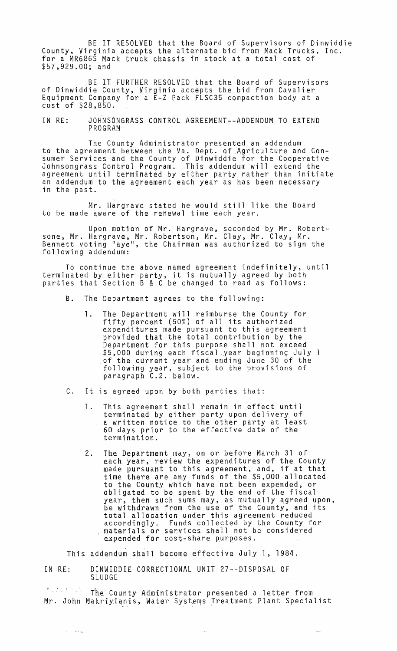BE IT RESOLVED that the Board of Supervisors of Dinwiddie County, Virginia accepts the alternate bid from Mack Trucks, Inc. for a MR686S Mack truck chassis in stock at a total cost of \$57~929.00; and

BE IT FURTHER RESOLVED that the Board of Supervisors<br>of Dinwiddie County, Virginia accepts the bid from Cavalier Equipment Company for a E-Z Pack FLSC35 compaction body at a cost of \$28,850.

IN RE: JOHNSONGRASS CONTROL AGREEMENT--ADDENDUM TO EXTEND PROGRAM

The County Administrator presented an addendum to the agreement between the Va. Dept. of Agriculture and Consumer Services and the County of Dinwiddie for the Cooperative Johnsongrass Control Program. This addendum will extend the agreement until terminated by either party rather than initiate an addendum to the agreement each year as has been necessary in the past.

Mr. Hargrave stated he would still like the Board to be made aware of the renewal time each year.

Upon motion of Mr. Hargrave, seconded by Mr. Robertsane, Mr. Hargrave., Mr. Robertson, Mr. Clay, Mr. Clay, Mr. Bennett voting "aye", the Chairman was authorized to sign the following addendum:

To continue the above named agreement indefinitely, until terminated by either party, it is mutually agreed by both parties that Section B & C be changed to read as follows:

- B. The Department agrees to the following:
	- 1. The Department will reimburse the County for fifty percent (50%) of all its authorized expenditures made pursuant to this agreement provided that the total contribution by the Department for this purpose shall not exceed \$5,000 during each fiscal .year beginning July 1 of the current year and ending June 30 of the following year, subject to the provisions of paragraph C.2. below.
- C. It is agreed upon by both parties that:
	- 1. This agreement shall remain in effect until terminated by either party upon delivery of a written notice to the other party at least 60 days prior to the effective date of the termination.
	- 2. The Department may, on or before March 31 of each year, review the expenditures of the County each year, review the expenditures of the county time there are any funds of the \$5,000 allocated to the County which have not been expended, or obligated to be spent by the end of the fiscal year, then such sums may, as mutually agreed upon, be withdrawn from the use of the County, and its total allocation under this agreement reduced accordingly. Funds collected by the County for materials or .services shall not be considered expended for cost-share purposes.

This addendum shall become effective July.l, 1984.

IN RE: DINWIDDIE CORRECTIONAL UNIT 27--DISPOSAL OF SLUDGE

والمتكار الكار

 $\mathbb{R}^{n\times n\times n}$  . The County Administrator presented a letter from Mr. John Makriyianis, Water Systems .Treatment Plant Specialist

ù.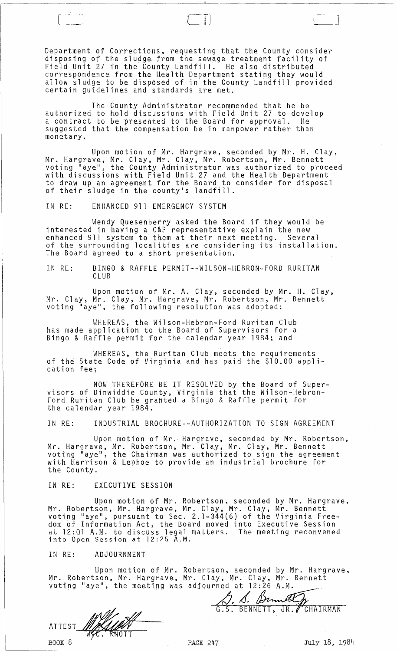Department of Corrections, requesting that the County consider disposing of the sludge from the sewage treatment facility of Field Unit 27 in the County Landfill~ He also distributed correspondence from the Health Department stating they would allow sludge to be disposed of in the County Landfill provided certain guidelines and standards are met.

 $\Box$ 

The County Administrator recommended that he be authorized to hold discussions with Field Unit 27 to develop a contract to be presented to the Board for approval. He suggested that the compensation be in manpower rather than monetary.

Upon motion of Mr. Hargrave, seconded by Mr. H. Clay, Mr. Hargrave, Mr. Clay, Mr. Clay, Mr. Robertson, Mr. Bennett voting "aye", the County Administrator was authorized to proceed with discussions with Field Unit 27 and the Health Department to draw up an agreement for the Board to consider for disposal<br>of their sludge in the county's landfill.

IN RE: ENHANCED 911 EMERGENCY SYSTEM

 $\begin{pmatrix} 1 & 1 & 1 \\ 1 & 1 & 1 \\ 1 & 1 & 1 \end{pmatrix}$ 

Wendy Quesenberry asked the Board if they would be interested in having a C&P representative explain the new enhanced 911 system to them at their next meeting. Several of the surrounding localities are considering its installation. The Board agreed to a short presentation.

IN RE: BINGO & RAFFLE PERMIT--WILSON-HEBRON-FORD RURITAN CLUB

Upon motion of Mr. A. Clay, seconded by Mr. H. Clay, Mr. Clay, Mr. Clay, Mr. Hargrave, Mr. Robertson, Mr. Bennett voting "aye", the following resolution was adopted:

WHEREAS, the Wilson-Hebron-Ford Ruritan Club has made application to the Board of Supervisors for a Bingo & Raffle permit for the calendar year 1984; and

WHEREAS, the Ruritan Club meets the requirements of the State Code of Virginia and has paid the \$10.00 application fee;

NOW THEREFORE BE IT RESOLVED by the Board of Supervisors of Dinwiddie County, Virginia that the Wilson-Hebron-Ford Ruritan Club be granted a Bingo & Raffle permit for the calendar year 1984.

IN RE: INDUSTRIAL BROCHURE--AUTHORIZATION TO SIGN AGREEMENT

Upon motion of Mr. Hargrave, seconded by Mr. Robertson, Mr. Hargrave, Mr. Robertson, Mr. Clay, Mr. Clay, Mr. Bennett voting "aye", the Chairman was authorized to sign the agreement with Harrison & Lephoe to provide an industrial brochure for the County.

IN RE: EXECUTIVE SESSION

Upon motion of Mr. Robertson, seconded by Mr. Hargrave, Mr. Robertson, Mr. Hargrave, Mr. Clay, Mr. Clay, Mr. Bennett voting "aye", pursuant to Sec. 2.1-344(6} of the Virginia Freedom of Information Act, the Board moved into Executive Session at 12:Ql A.M. to discuss legal matters. The meeting reconvened into Open Session at 12:25 A.M.

## IN RE: ADJOURNMENT

Upon motion of Mr. Robertson, seconded by Mr. Hargrave, Mr. Robertson, Mr. Hargrave, Mr. Clay, Mr. Clay, Mr. Bennett voting "aye<sup>H</sup> , the meeting was adjourned at 12:26 A.M.

J. S. Bennetty

ATTEST